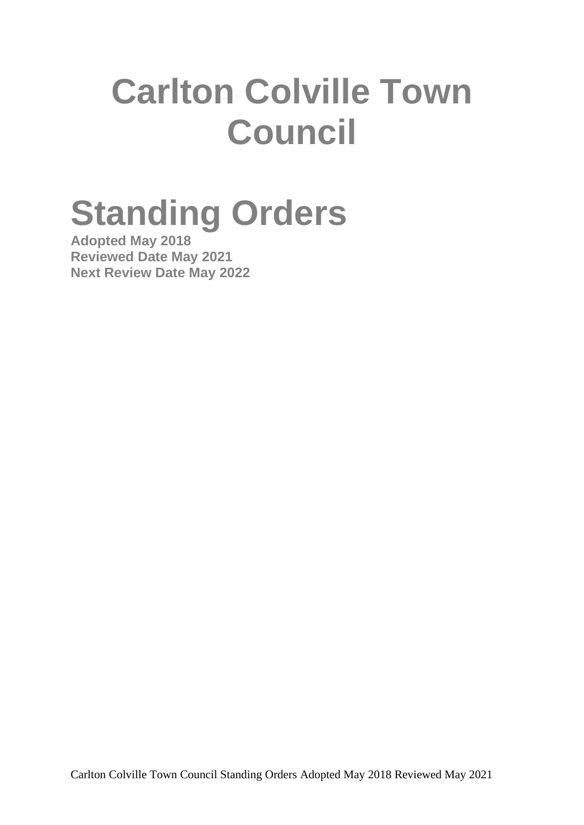# **Carlton Colville Town Council**

# **Standing Orders**

**Adopted May 2018 Reviewed Date May 2021 Next Review Date May 2022**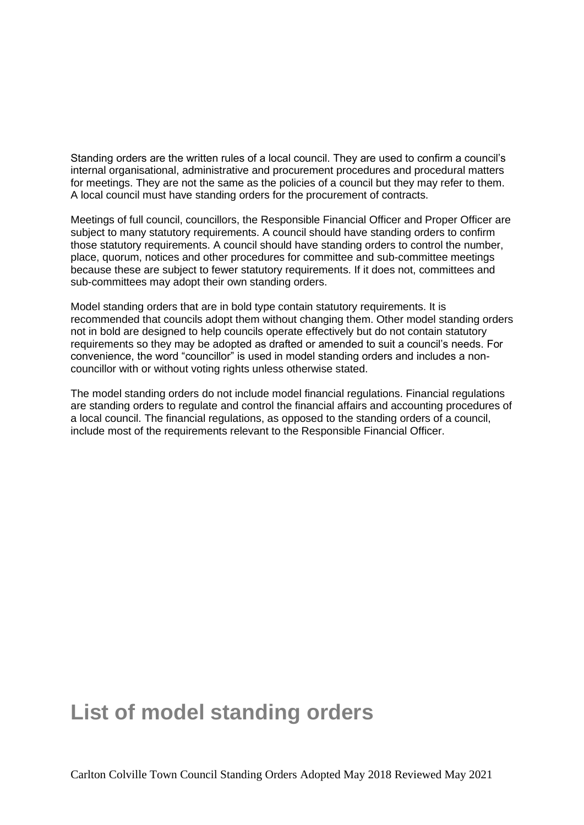Standing orders are the written rules of a local council. They are used to confirm a council's internal organisational, administrative and procurement procedures and procedural matters for meetings. They are not the same as the policies of a council but they may refer to them. A local council must have standing orders for the procurement of contracts.

Meetings of full council, councillors, the Responsible Financial Officer and Proper Officer are subject to many statutory requirements. A council should have standing orders to confirm those statutory requirements. A council should have standing orders to control the number, place, quorum, notices and other procedures for committee and sub-committee meetings because these are subject to fewer statutory requirements. If it does not, committees and sub-committees may adopt their own standing orders.

Model standing orders that are in bold type contain statutory requirements. It is recommended that councils adopt them without changing them. Other model standing orders not in bold are designed to help councils operate effectively but do not contain statutory requirements so they may be adopted as drafted or amended to suit a council's needs. For convenience, the word "councillor" is used in model standing orders and includes a noncouncillor with or without voting rights unless otherwise stated.

The model standing orders do not include model financial regulations. Financial regulations are standing orders to regulate and control the financial affairs and accounting procedures of a local council. The financial regulations, as opposed to the standing orders of a council, include most of the requirements relevant to the Responsible Financial Officer.

### **List of model standing orders**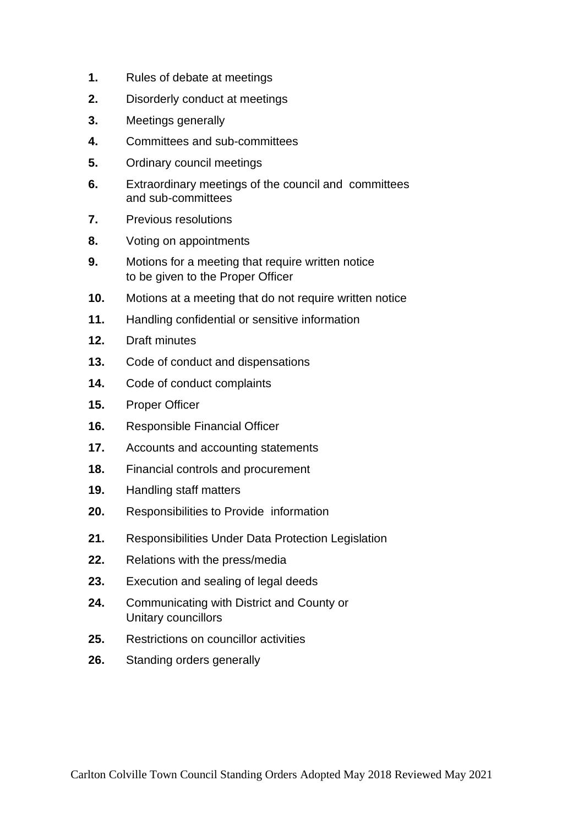- **1.** Rules of debate at meetings
- **2.** Disorderly conduct at meetings
- **3.** Meetings generally
- **4.** Committees and sub-committees
- **5.** Ordinary council meetings
- **6.** Extraordinary meetings of the council and committees and sub-committees
- **7.** Previous resolutions
- **8.** Voting on appointments
- **9.** Motions for a meeting that require written notice to be given to the Proper Officer
- **10.** Motions at a meeting that do not require written notice
- **11.** Handling confidential or sensitive information
- **12.** Draft minutes
- **13.** Code of conduct and dispensations
- **14.** Code of conduct complaints
- **15.** Proper Officer
- **16.** Responsible Financial Officer
- **17.** Accounts and accounting statements
- **18.** Financial controls and procurement
- **19.** Handling staff matters
- **20.** Responsibilities to Provide information
- **21.** Responsibilities Under Data Protection Legislation
- **22.** Relations with the press/media
- **23.** Execution and sealing of legal deeds
- **24.** Communicating with District and County or Unitary councillors
- **25.** Restrictions on councillor activities
- **26.** Standing orders generally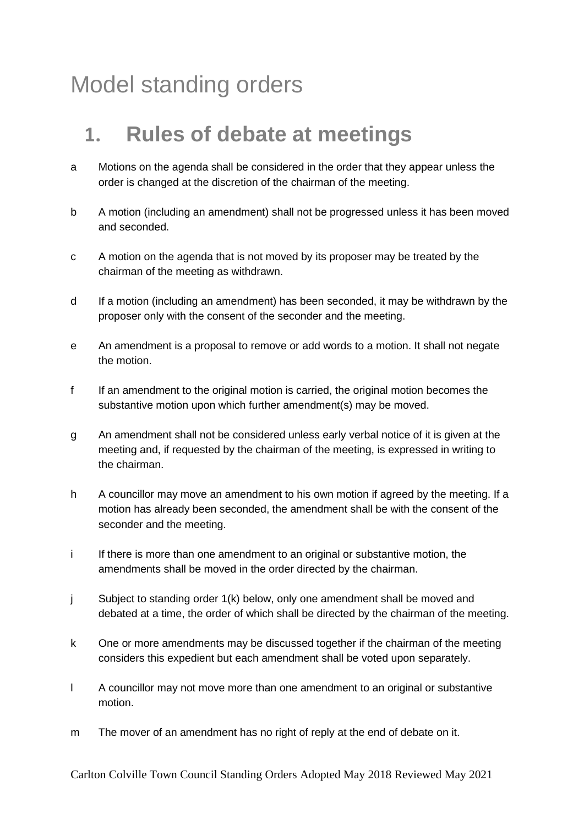# Model standing orders

### **1. Rules of debate at meetings**

- a Motions on the agenda shall be considered in the order that they appear unless the order is changed at the discretion of the chairman of the meeting.
- b A motion (including an amendment) shall not be progressed unless it has been moved and seconded.
- c A motion on the agenda that is not moved by its proposer may be treated by the chairman of the meeting as withdrawn.
- d If a motion (including an amendment) has been seconded, it may be withdrawn by the proposer only with the consent of the seconder and the meeting.
- e An amendment is a proposal to remove or add words to a motion. It shall not negate the motion.
- f If an amendment to the original motion is carried, the original motion becomes the substantive motion upon which further amendment(s) may be moved.
- g An amendment shall not be considered unless early verbal notice of it is given at the meeting and, if requested by the chairman of the meeting, is expressed in writing to the chairman.
- h A councillor may move an amendment to his own motion if agreed by the meeting. If a motion has already been seconded, the amendment shall be with the consent of the seconder and the meeting.
- i If there is more than one amendment to an original or substantive motion, the amendments shall be moved in the order directed by the chairman.
- j Subject to standing order 1(k) below, only one amendment shall be moved and debated at a time, the order of which shall be directed by the chairman of the meeting.
- k One or more amendments may be discussed together if the chairman of the meeting considers this expedient but each amendment shall be voted upon separately.
- l A councillor may not move more than one amendment to an original or substantive motion.
- m The mover of an amendment has no right of reply at the end of debate on it.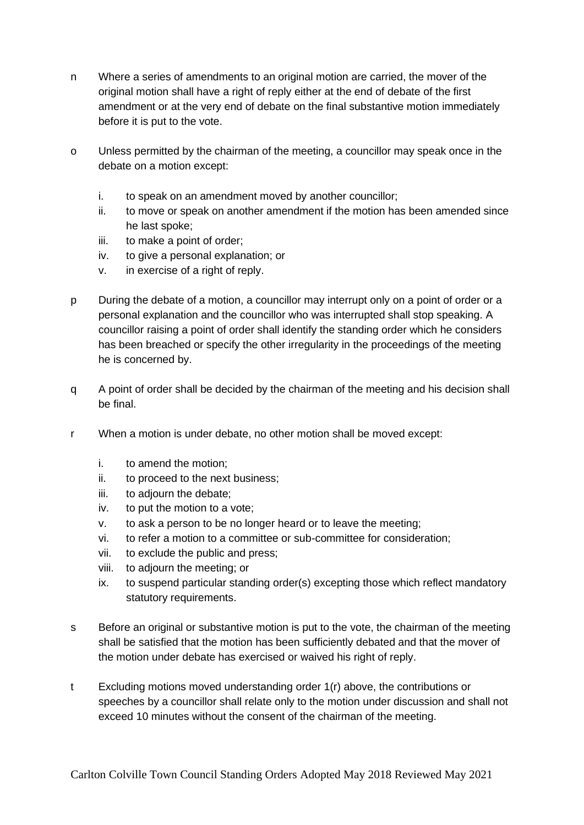- n Where a series of amendments to an original motion are carried, the mover of the original motion shall have a right of reply either at the end of debate of the first amendment or at the very end of debate on the final substantive motion immediately before it is put to the vote.
- o Unless permitted by the chairman of the meeting, a councillor may speak once in the debate on a motion except:
	- i. to speak on an amendment moved by another councillor;
	- ii. to move or speak on another amendment if the motion has been amended since he last spoke;
	- iii. to make a point of order;
	- iv. to give a personal explanation; or
	- v. in exercise of a right of reply.
- p During the debate of a motion, a councillor may interrupt only on a point of order or a personal explanation and the councillor who was interrupted shall stop speaking. A councillor raising a point of order shall identify the standing order which he considers has been breached or specify the other irregularity in the proceedings of the meeting he is concerned by.
- q A point of order shall be decided by the chairman of the meeting and his decision shall be final.
- r When a motion is under debate, no other motion shall be moved except:
	- i. to amend the motion;
	- ii. to proceed to the next business;
	- iii. to adjourn the debate;
	- iv. to put the motion to a vote;
	- v. to ask a person to be no longer heard or to leave the meeting;
	- vi. to refer a motion to a committee or sub-committee for consideration;
	- vii. to exclude the public and press;
	- viii. to adjourn the meeting; or
	- ix. to suspend particular standing order(s) excepting those which reflect mandatory statutory requirements.
- s Before an original or substantive motion is put to the vote, the chairman of the meeting shall be satisfied that the motion has been sufficiently debated and that the mover of the motion under debate has exercised or waived his right of reply.
- t Excluding motions moved understanding order 1(r) above, the contributions or speeches by a councillor shall relate only to the motion under discussion and shall not exceed 10 minutes without the consent of the chairman of the meeting.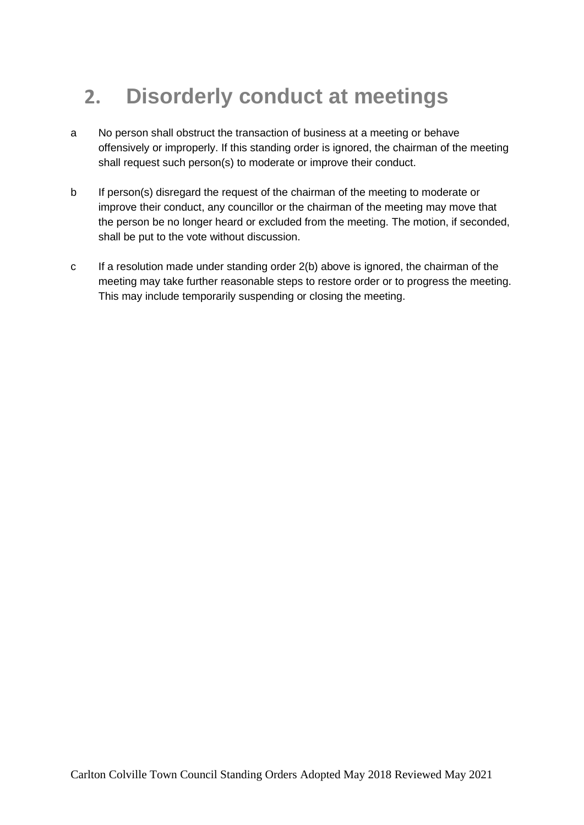# **2. Disorderly conduct at meetings**

- a No person shall obstruct the transaction of business at a meeting or behave offensively or improperly. If this standing order is ignored, the chairman of the meeting shall request such person(s) to moderate or improve their conduct.
- b If person(s) disregard the request of the chairman of the meeting to moderate or improve their conduct, any councillor or the chairman of the meeting may move that the person be no longer heard or excluded from the meeting. The motion, if seconded, shall be put to the vote without discussion.
- c If a resolution made under standing order 2(b) above is ignored, the chairman of the meeting may take further reasonable steps to restore order or to progress the meeting. This may include temporarily suspending or closing the meeting.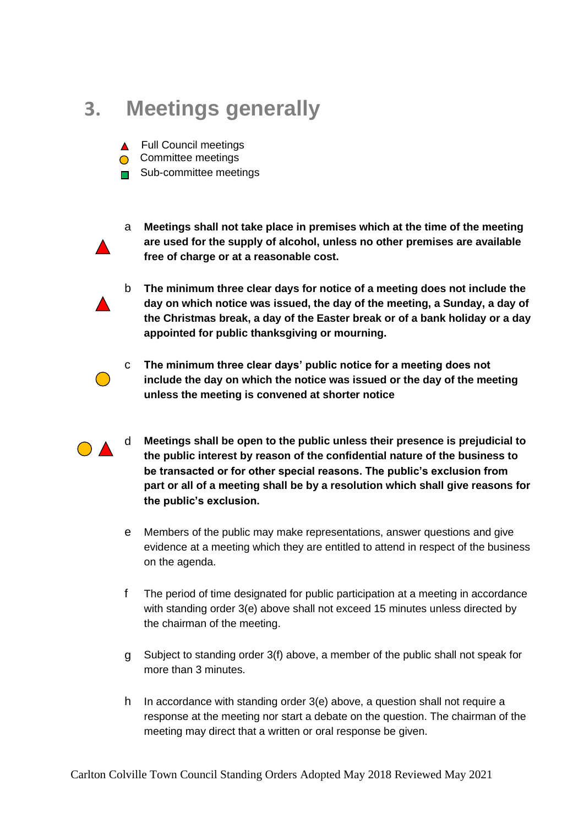### **3. Meetings generally**

- ▲ Full Council meetings
- Committee meetings
- **■** Sub-committee meetings



- a **Meetings shall not take place in premises which at the time of the meeting are used for the supply of alcohol, unless no other premises are available free of charge or at a reasonable cost.**
- b **The minimum three clear days for notice of a meeting does not include the day on which notice was issued, the day of the meeting, a Sunday, a day of the Christmas break, a day of the Easter break or of a bank holiday or a day appointed for public thanksgiving or mourning.**



- c **The minimum three clear days' public notice for a meeting does not include the day on which the notice was issued or the day of the meeting unless the meeting is convened at shorter notice**
- d **Meetings shall be open to the public unless their presence is prejudicial to the public interest by reason of the confidential nature of the business to be transacted or for other special reasons. The public's exclusion from part or all of a meeting shall be by a resolution which shall give reasons for the public's exclusion.**
	- e Members of the public may make representations, answer questions and give evidence at a meeting which they are entitled to attend in respect of the business on the agenda.
	- f The period of time designated for public participation at a meeting in accordance with standing order 3(e) above shall not exceed 15 minutes unless directed by the chairman of the meeting.
	- g Subject to standing order 3(f) above, a member of the public shall not speak for more than 3 minutes.
	- h In accordance with standing order 3(e) above, a question shall not require a response at the meeting nor start a debate on the question. The chairman of the meeting may direct that a written or oral response be given.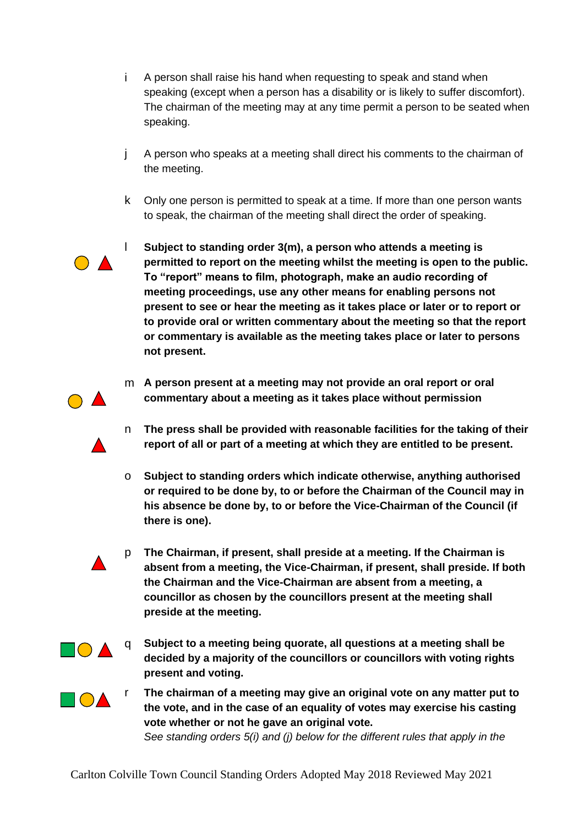- i A person shall raise his hand when requesting to speak and stand when speaking (except when a person has a disability or is likely to suffer discomfort). The chairman of the meeting may at any time permit a person to be seated when speaking.
- j A person who speaks at a meeting shall direct his comments to the chairman of the meeting.
- k Only one person is permitted to speak at a time. If more than one person wants to speak, the chairman of the meeting shall direct the order of speaking.



m **A person present at a meeting may not provide an oral report or oral commentary about a meeting as it takes place without permission**

- n **The press shall be provided with reasonable facilities for the taking of their report of all or part of a meeting at which they are entitled to be present.**
- o **Subject to standing orders which indicate otherwise, anything authorised or required to be done by, to or before the Chairman of the Council may in his absence be done by, to or before the Vice-Chairman of the Council (if there is one).**
- p **The Chairman, if present, shall preside at a meeting. If the Chairman is absent from a meeting, the Vice-Chairman, if present, shall preside. If both the Chairman and the Vice-Chairman are absent from a meeting, a councillor as chosen by the councillors present at the meeting shall preside at the meeting.**
- $\blacksquare$  $\blacktriangle$
- q **Subject to a meeting being quorate, all questions at a meeting shall be decided by a majority of the councillors or councillors with voting rights present and voting.**
- 
- **T**<br>**The chairman of a meeting may give an original vote on any matter put to <br><b>TOA the vote, and in the case of an equality of votes may exercise his casting vote whether or not he gave an original vote.**

*See standing orders 5(i) and (j) below for the different rules that apply in the*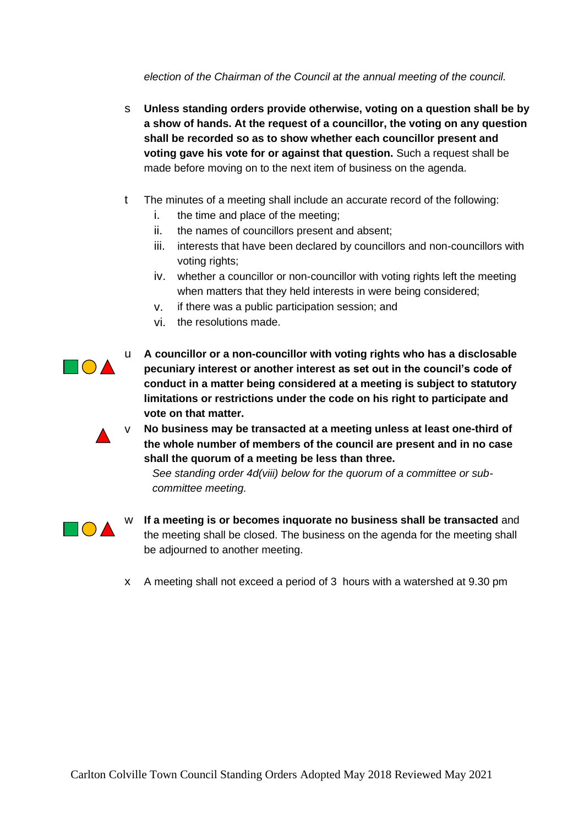*election of the Chairman of the Council at the annual meeting of the council.*

- s **Unless standing orders provide otherwise, voting on a question shall be by a show of hands. At the request of a councillor, the voting on any question shall be recorded so as to show whether each councillor present and voting gave his vote for or against that question.** Such a request shall be made before moving on to the next item of business on the agenda.
- t The minutes of a meeting shall include an accurate record of the following:
	- i. the time and place of the meeting;
	- ii. the names of councillors present and absent;
	- iii. interests that have been declared by councillors and non-councillors with voting rights;
	- iv. whether a councillor or non-councillor with voting rights left the meeting when matters that they held interests in were being considered;
	- v. if there was a public participation session; and
	- vi. the resolutions made.



u **A councillor or a non-councillor with voting rights who has a disclosable pecuniary interest or another interest as set out in the council's code of conduct in a matter being considered at a meeting is subject to statutory limitations or restrictions under the code on his right to participate and vote on that matter.**



No business may be transacted at a meeting unless at least one-third of **the whole number of members of the council are present and in no case shall the quorum of a meeting be less than three.**

*See standing order 4d(viii) below for the quorum of a committee or subcommittee meeting.* 



- w **If a meeting is or becomes inquorate no business shall be transacted** and the meeting shall be closed. The business on the agenda for the meeting shall be adjourned to another meeting.
- x A meeting shall not exceed a period of 3 hours with a watershed at 9.30 pm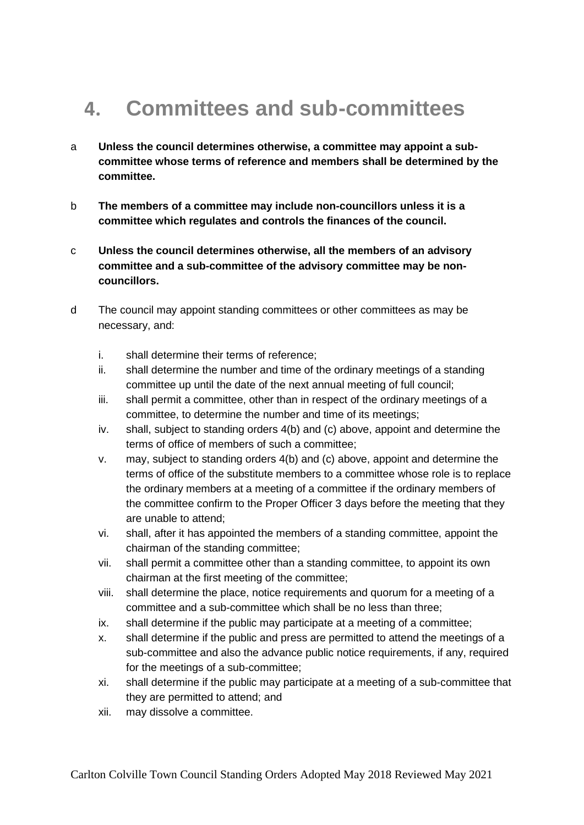# **4. Committees and sub-committees**

- a **Unless the council determines otherwise, a committee may appoint a subcommittee whose terms of reference and members shall be determined by the committee.**
- b **The members of a committee may include non-councillors unless it is a committee which regulates and controls the finances of the council.**
- c **Unless the council determines otherwise, all the members of an advisory committee and a sub-committee of the advisory committee may be noncouncillors.**
- d The council may appoint standing committees or other committees as may be necessary, and:
	- i. shall determine their terms of reference;
	- ii. shall determine the number and time of the ordinary meetings of a standing committee up until the date of the next annual meeting of full council;
	- iii. shall permit a committee, other than in respect of the ordinary meetings of a committee, to determine the number and time of its meetings;
	- iv. shall, subject to standing orders 4(b) and (c) above, appoint and determine the terms of office of members of such a committee;
	- v. may, subject to standing orders 4(b) and (c) above, appoint and determine the terms of office of the substitute members to a committee whose role is to replace the ordinary members at a meeting of a committee if the ordinary members of the committee confirm to the Proper Officer 3 days before the meeting that they are unable to attend;
	- vi. shall, after it has appointed the members of a standing committee, appoint the chairman of the standing committee;
	- vii. shall permit a committee other than a standing committee, to appoint its own chairman at the first meeting of the committee;
	- viii. shall determine the place, notice requirements and quorum for a meeting of a committee and a sub-committee which shall be no less than three;
	- ix. shall determine if the public may participate at a meeting of a committee;
	- x. shall determine if the public and press are permitted to attend the meetings of a sub-committee and also the advance public notice requirements, if any, required for the meetings of a sub-committee;
	- xi. shall determine if the public may participate at a meeting of a sub-committee that they are permitted to attend; and
	- xii. may dissolve a committee.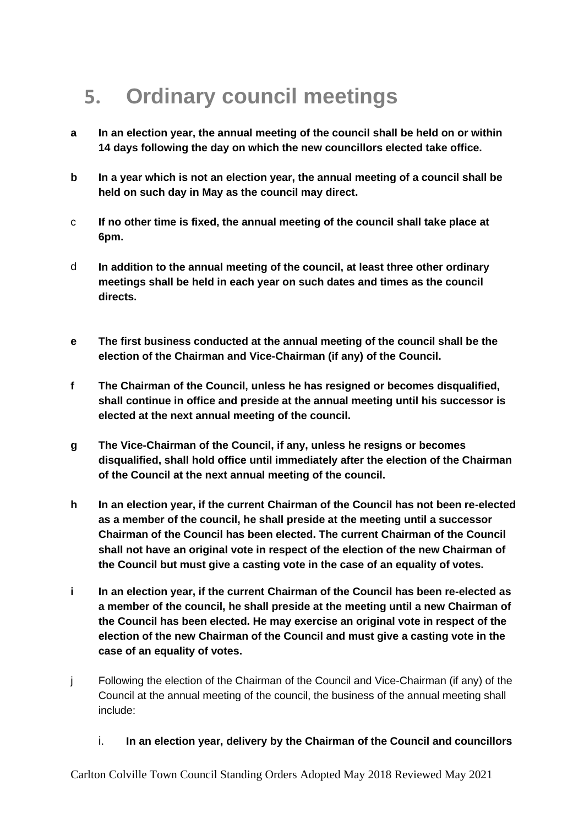# **5. Ordinary council meetings**

- **a In an election year, the annual meeting of the council shall be held on or within 14 days following the day on which the new councillors elected take office.**
- **b In a year which is not an election year, the annual meeting of a council shall be held on such day in May as the council may direct.**
- c **If no other time is fixed, the annual meeting of the council shall take place at 6pm.**
- d **In addition to the annual meeting of the council, at least three other ordinary meetings shall be held in each year on such dates and times as the council directs.**
- **e The first business conducted at the annual meeting of the council shall be the election of the Chairman and Vice-Chairman (if any) of the Council.**
- **f The Chairman of the Council, unless he has resigned or becomes disqualified, shall continue in office and preside at the annual meeting until his successor is elected at the next annual meeting of the council.**
- **g The Vice-Chairman of the Council, if any, unless he resigns or becomes disqualified, shall hold office until immediately after the election of the Chairman of the Council at the next annual meeting of the council.**
- **h In an election year, if the current Chairman of the Council has not been re-elected as a member of the council, he shall preside at the meeting until a successor Chairman of the Council has been elected. The current Chairman of the Council shall not have an original vote in respect of the election of the new Chairman of the Council but must give a casting vote in the case of an equality of votes.**
- **i In an election year, if the current Chairman of the Council has been re-elected as a member of the council, he shall preside at the meeting until a new Chairman of the Council has been elected. He may exercise an original vote in respect of the election of the new Chairman of the Council and must give a casting vote in the case of an equality of votes.**
- j Following the election of the Chairman of the Council and Vice-Chairman (if any) of the Council at the annual meeting of the council, the business of the annual meeting shall include:
	- i. **In an election year, delivery by the Chairman of the Council and councillors**

Carlton Colville Town Council Standing Orders Adopted May 2018 Reviewed May 2021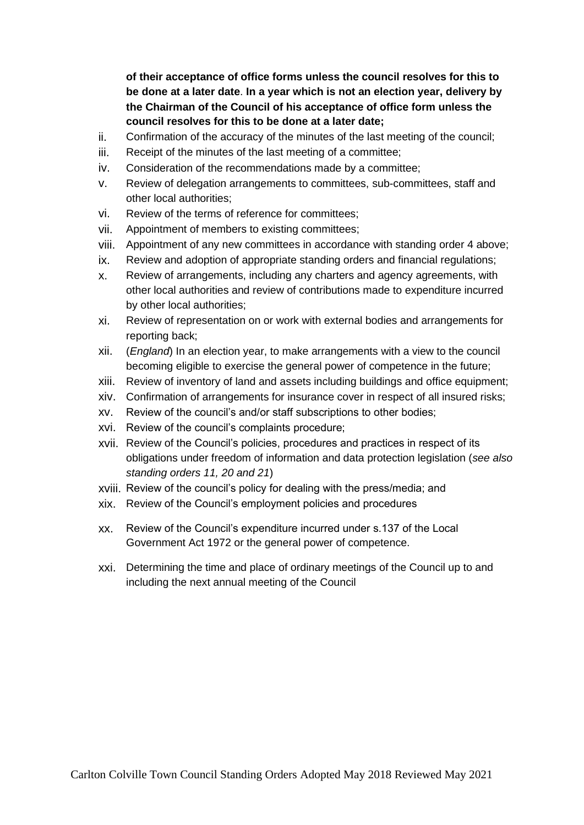**of their acceptance of office forms unless the council resolves for this to be done at a later date**. **In a year which is not an election year, delivery by the Chairman of the Council of his acceptance of office form unless the council resolves for this to be done at a later date;**

- ii. Confirmation of the accuracy of the minutes of the last meeting of the council;
- iii. Receipt of the minutes of the last meeting of a committee;
- iv. Consideration of the recommendations made by a committee;
- v. Review of delegation arrangements to committees, sub-committees, staff and other local authorities;
- vi. Review of the terms of reference for committees;
- vii. Appointment of members to existing committees;
- viii. Appointment of any new committees in accordance with standing order 4 above;
- ix. Review and adoption of appropriate standing orders and financial regulations;
- x. Review of arrangements, including any charters and agency agreements, with other local authorities and review of contributions made to expenditure incurred by other local authorities;
- xi. Review of representation on or work with external bodies and arrangements for reporting back;
- xii. (*England*) In an election year, to make arrangements with a view to the council becoming eligible to exercise the general power of competence in the future;
- xiii. Review of inventory of land and assets including buildings and office equipment;
- xiv. Confirmation of arrangements for insurance cover in respect of all insured risks;
- xv. Review of the council's and/or staff subscriptions to other bodies;
- xvi. Review of the council's complaints procedure;
- xvii. Review of the Council's policies, procedures and practices in respect of its obligations under freedom of information and data protection legislation (*see also standing orders 11, 20 and 21*)
- xviii. Review of the council's policy for dealing with the press/media; and
- xix. Review of the Council's employment policies and procedures
- xx. Review of the Council's expenditure incurred under s.137 of the Local Government Act 1972 or the general power of competence.
- xxi. Determining the time and place of ordinary meetings of the Council up to and including the next annual meeting of the Council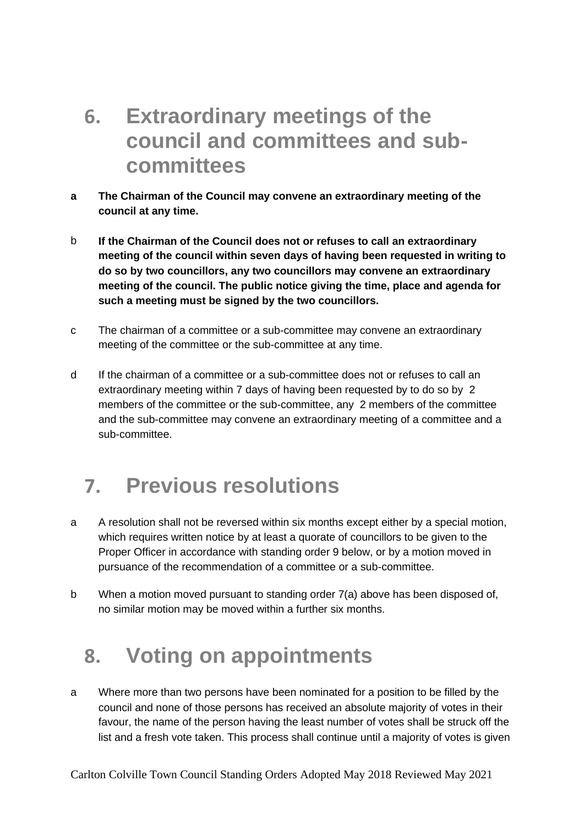### **6. Extraordinary meetings of the council and committees and subcommittees**

- **a The Chairman of the Council may convene an extraordinary meeting of the council at any time.**
- b **If the Chairman of the Council does not or refuses to call an extraordinary meeting of the council within seven days of having been requested in writing to do so by two councillors, any two councillors may convene an extraordinary meeting of the council. The public notice giving the time, place and agenda for such a meeting must be signed by the two councillors.**
- c The chairman of a committee or a sub-committee may convene an extraordinary meeting of the committee or the sub-committee at any time.
- d If the chairman of a committee or a sub-committee does not or refuses to call an extraordinary meeting within 7 days of having been requested by to do so by 2 members of the committee or the sub-committee, any 2 members of the committee and the sub-committee may convene an extraordinary meeting of a committee and a sub-committee.

### **7. Previous resolutions**

- a A resolution shall not be reversed within six months except either by a special motion, which requires written notice by at least a quorate of councillors to be given to the Proper Officer in accordance with standing order 9 below, or by a motion moved in pursuance of the recommendation of a committee or a sub-committee.
- b When a motion moved pursuant to standing order 7(a) above has been disposed of, no similar motion may be moved within a further six months.

# **8. Voting on appointments**

a Where more than two persons have been nominated for a position to be filled by the council and none of those persons has received an absolute majority of votes in their favour, the name of the person having the least number of votes shall be struck off the list and a fresh vote taken. This process shall continue until a majority of votes is given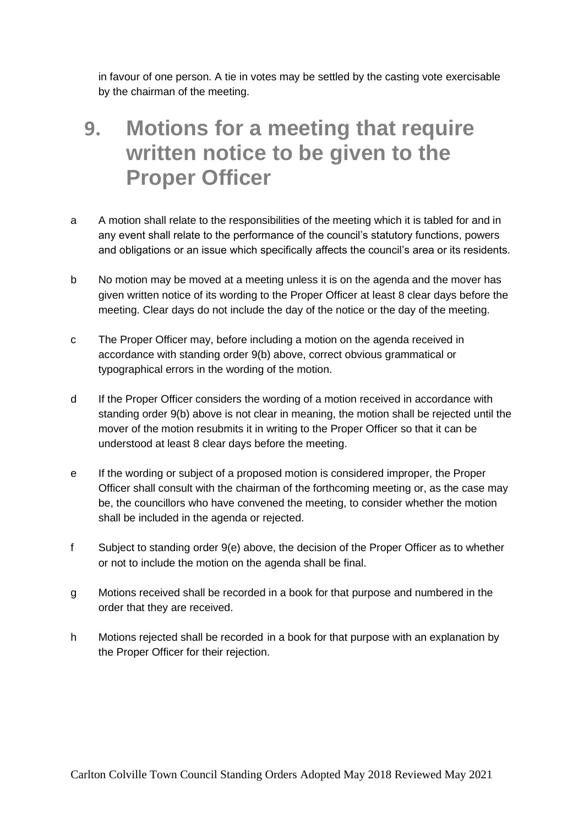in favour of one person. A tie in votes may be settled by the casting vote exercisable by the chairman of the meeting.

### **9. Motions for a meeting that require written notice to be given to the Proper Officer**

- a A motion shall relate to the responsibilities of the meeting which it is tabled for and in any event shall relate to the performance of the council's statutory functions, powers and obligations or an issue which specifically affects the council's area or its residents.
- b No motion may be moved at a meeting unless it is on the agenda and the mover has given written notice of its wording to the Proper Officer at least 8 clear days before the meeting. Clear days do not include the day of the notice or the day of the meeting.
- c The Proper Officer may, before including a motion on the agenda received in accordance with standing order 9(b) above, correct obvious grammatical or typographical errors in the wording of the motion.
- d If the Proper Officer considers the wording of a motion received in accordance with standing order 9(b) above is not clear in meaning, the motion shall be rejected until the mover of the motion resubmits it in writing to the Proper Officer so that it can be understood at least 8 clear days before the meeting.
- e If the wording or subject of a proposed motion is considered improper, the Proper Officer shall consult with the chairman of the forthcoming meeting or, as the case may be, the councillors who have convened the meeting, to consider whether the motion shall be included in the agenda or rejected.
- f Subject to standing order 9(e) above, the decision of the Proper Officer as to whether or not to include the motion on the agenda shall be final.
- g Motions received shall be recorded in a book for that purpose and numbered in the order that they are received.
- h Motions rejected shall be recorded in a book for that purpose with an explanation by the Proper Officer for their rejection.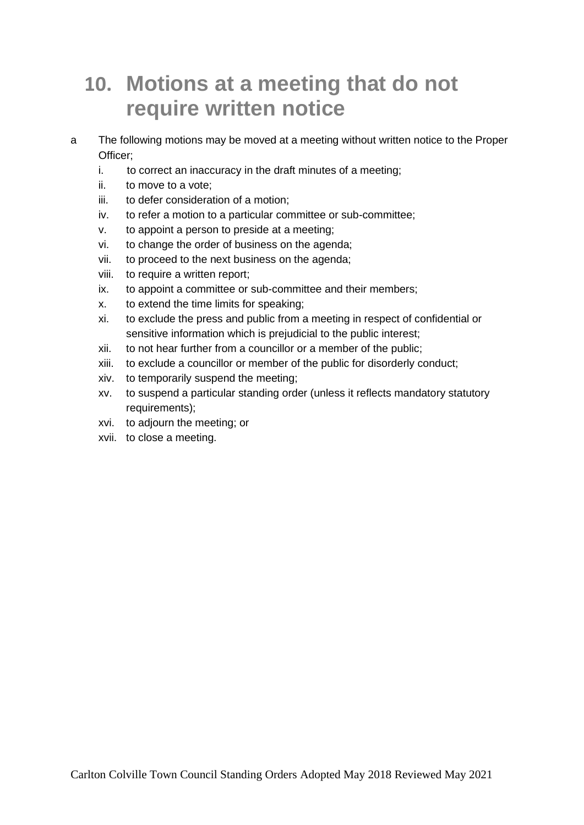### **10. Motions at a meeting that do not require written notice**

- a The following motions may be moved at a meeting without written notice to the Proper Officer;
	- i. to correct an inaccuracy in the draft minutes of a meeting;
	- ii. to move to a vote;
	- iii. to defer consideration of a motion;
	- iv. to refer a motion to a particular committee or sub-committee;
	- v. to appoint a person to preside at a meeting;
	- vi. to change the order of business on the agenda;
	- vii. to proceed to the next business on the agenda;
	- viii. to require a written report;
	- ix. to appoint a committee or sub-committee and their members;
	- x. to extend the time limits for speaking;
	- xi. to exclude the press and public from a meeting in respect of confidential or sensitive information which is prejudicial to the public interest;
	- xii. to not hear further from a councillor or a member of the public;
	- xiii. to exclude a councillor or member of the public for disorderly conduct;
	- xiv. to temporarily suspend the meeting;
	- xv. to suspend a particular standing order (unless it reflects mandatory statutory requirements);
	- xvi. to adjourn the meeting; or
	- xvii. to close a meeting.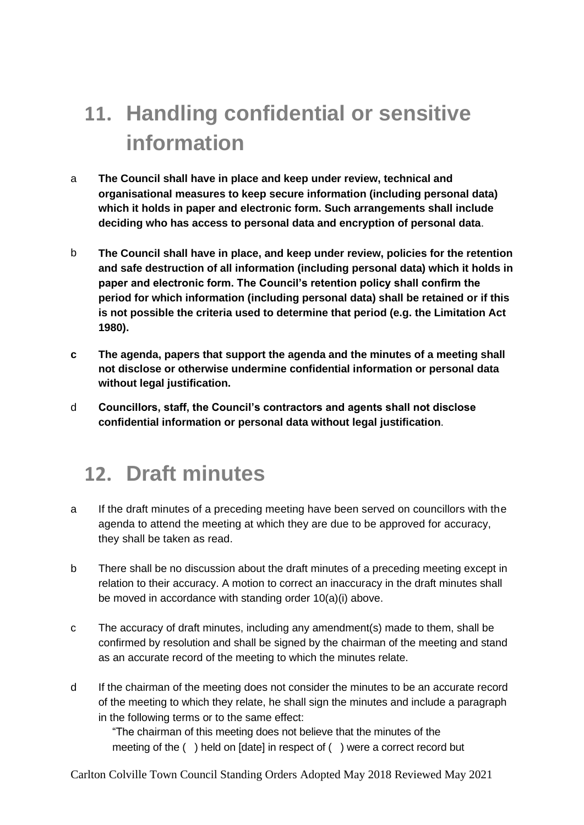# **11. Handling confidential or sensitive information**

- a **The Council shall have in place and keep under review, technical and organisational measures to keep secure information (including personal data) which it holds in paper and electronic form. Such arrangements shall include deciding who has access to personal data and encryption of personal data**.
- b **The Council shall have in place, and keep under review, policies for the retention and safe destruction of all information (including personal data) which it holds in paper and electronic form. The Council's retention policy shall confirm the period for which information (including personal data) shall be retained or if this is not possible the criteria used to determine that period (e.g. the Limitation Act 1980).**
- **c The agenda, papers that support the agenda and the minutes of a meeting shall not disclose or otherwise undermine confidential information or personal data without legal justification.**
- d **Councillors, staff, the Council's contractors and agents shall not disclose confidential information or personal data without legal justification**.

### **12. Draft minutes**

- a If the draft minutes of a preceding meeting have been served on councillors with the agenda to attend the meeting at which they are due to be approved for accuracy, they shall be taken as read.
- b There shall be no discussion about the draft minutes of a preceding meeting except in relation to their accuracy. A motion to correct an inaccuracy in the draft minutes shall be moved in accordance with standing order 10(a)(i) above.
- c The accuracy of draft minutes, including any amendment(s) made to them, shall be confirmed by resolution and shall be signed by the chairman of the meeting and stand as an accurate record of the meeting to which the minutes relate.
- d If the chairman of the meeting does not consider the minutes to be an accurate record of the meeting to which they relate, he shall sign the minutes and include a paragraph in the following terms or to the same effect:

"The chairman of this meeting does not believe that the minutes of the meeting of the ( ) held on [date] in respect of ( ) were a correct record but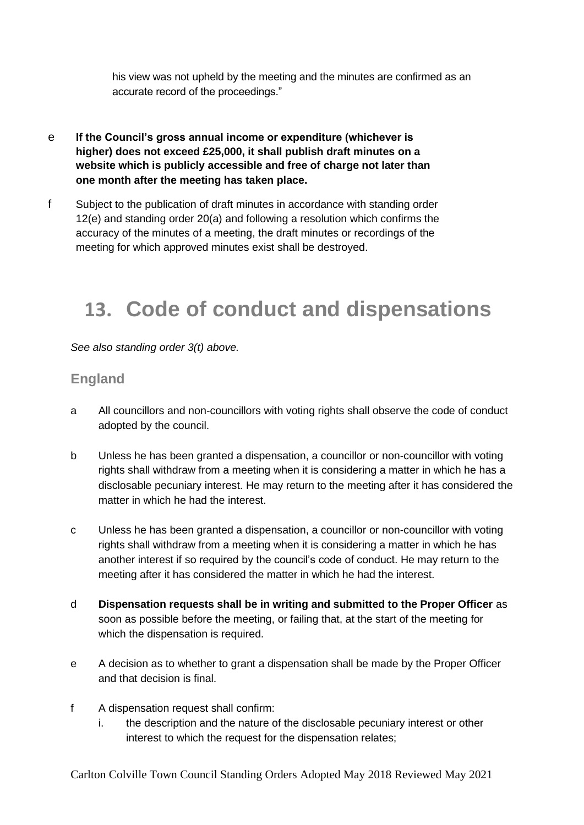his view was not upheld by the meeting and the minutes are confirmed as an accurate record of the proceedings."

- e **If the Council's gross annual income or expenditure (whichever is higher) does not exceed £25,000, it shall publish draft minutes on a website which is publicly accessible and free of charge not later than one month after the meeting has taken place.**
- f Subject to the publication of draft minutes in accordance with standing order 12(e) and standing order 20(a) and following a resolution which confirms the accuracy of the minutes of a meeting, the draft minutes or recordings of the meeting for which approved minutes exist shall be destroyed.

### **13. Code of conduct and dispensations**

*See also standing order 3(t) above.* 

#### **England**

- a All councillors and non-councillors with voting rights shall observe the code of conduct adopted by the council.
- b Unless he has been granted a dispensation, a councillor or non-councillor with voting rights shall withdraw from a meeting when it is considering a matter in which he has a disclosable pecuniary interest. He may return to the meeting after it has considered the matter in which he had the interest.
- c Unless he has been granted a dispensation, a councillor or non-councillor with voting rights shall withdraw from a meeting when it is considering a matter in which he has another interest if so required by the council's code of conduct. He may return to the meeting after it has considered the matter in which he had the interest.
- d **Dispensation requests shall be in writing and submitted to the Proper Officer** as soon as possible before the meeting, or failing that, at the start of the meeting for which the dispensation is required.
- e A decision as to whether to grant a dispensation shall be made by the Proper Officer and that decision is final.
- f A dispensation request shall confirm:
	- i. the description and the nature of the disclosable pecuniary interest or other interest to which the request for the dispensation relates;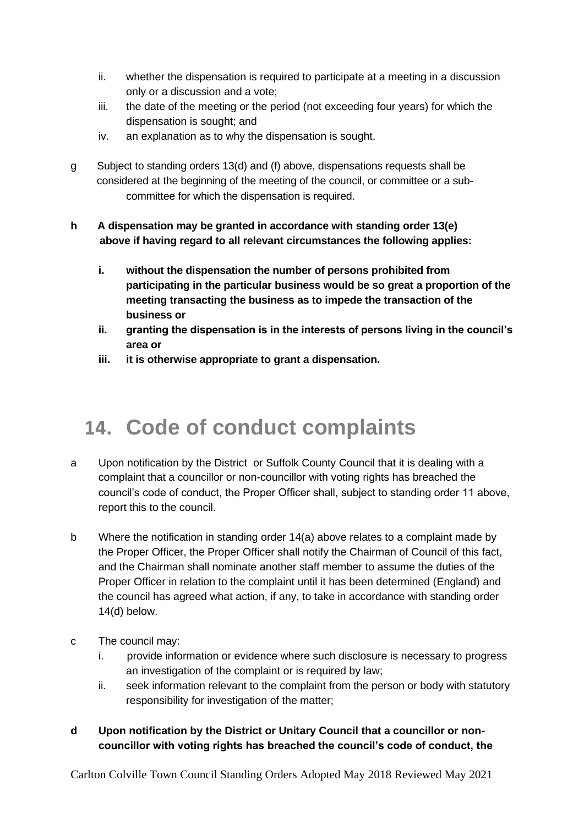- ii. whether the dispensation is required to participate at a meeting in a discussion only or a discussion and a vote;
- iii. the date of the meeting or the period (not exceeding four years) for which the dispensation is sought; and
- iv. an explanation as to why the dispensation is sought.
- g Subject to standing orders 13(d) and (f) above, dispensations requests shall be considered at the beginning of the meeting of the council, or committee or a subcommittee for which the dispensation is required.
- **h A dispensation may be granted in accordance with standing order 13(e) above if having regard to all relevant circumstances the following applies:** 
	- **i. without the dispensation the number of persons prohibited from participating in the particular business would be so great a proportion of the meeting transacting the business as to impede the transaction of the business or**
	- **ii. granting the dispensation is in the interests of persons living in the council's area or**
	- **iii. it is otherwise appropriate to grant a dispensation.**

### **14. Code of conduct complaints**

- a Upon notification by the District or Suffolk County Council that it is dealing with a complaint that a councillor or non-councillor with voting rights has breached the council's code of conduct, the Proper Officer shall, subject to standing order 11 above, report this to the council.
- b Where the notification in standing order 14(a) above relates to a complaint made by the Proper Officer, the Proper Officer shall notify the Chairman of Council of this fact, and the Chairman shall nominate another staff member to assume the duties of the Proper Officer in relation to the complaint until it has been determined (England) and the council has agreed what action, if any, to take in accordance with standing order 14(d) below.
- c The council may:
	- i. provide information or evidence where such disclosure is necessary to progress an investigation of the complaint or is required by law:
	- ii. seek information relevant to the complaint from the person or body with statutory responsibility for investigation of the matter;
- **d Upon notification by the District or Unitary Council that a councillor or noncouncillor with voting rights has breached the council's code of conduct, the**

Carlton Colville Town Council Standing Orders Adopted May 2018 Reviewed May 2021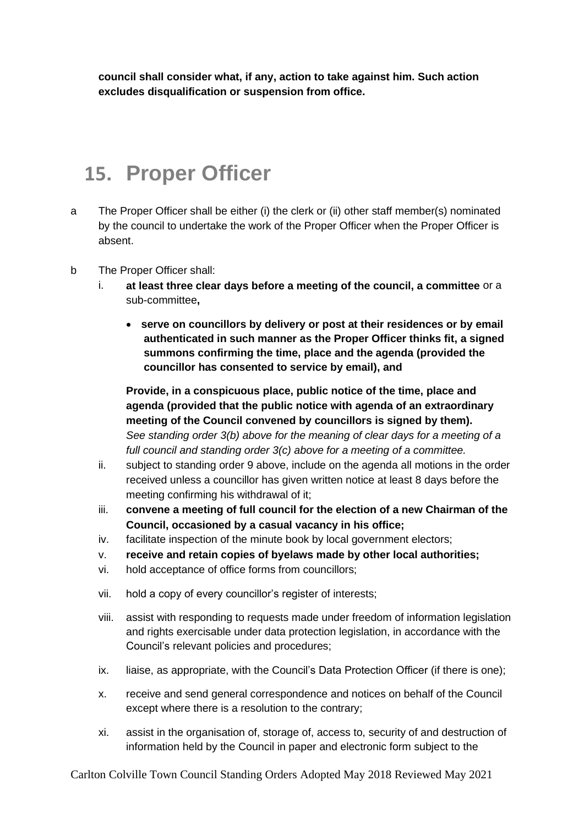**council shall consider what, if any, action to take against him. Such action excludes disqualification or suspension from office.**

### **15. Proper Officer**

- a The Proper Officer shall be either (i) the clerk or (ii) other staff member(s) nominated by the council to undertake the work of the Proper Officer when the Proper Officer is absent.
- b The Proper Officer shall:
	- i. **at least three clear days before a meeting of the council, a committee** or a sub-committee**,**
		- **serve on councillors by delivery or post at their residences or by email authenticated in such manner as the Proper Officer thinks fit, a signed summons confirming the time, place and the agenda (provided the councillor has consented to service by email), and**

**Provide, in a conspicuous place, public notice of the time, place and agenda (provided that the public notice with agenda of an extraordinary meeting of the Council convened by councillors is signed by them).** *See standing order 3(b) above for the meaning of clear days for a meeting of a full council and standing order 3(c) above for a meeting of a committee.*

- ii. subject to standing order 9 above, include on the agenda all motions in the order received unless a councillor has given written notice at least 8 days before the meeting confirming his withdrawal of it;
- iii. **convene a meeting of full council for the election of a new Chairman of the Council, occasioned by a casual vacancy in his office;**
- iv. facilitate inspection of the minute book by local government electors;
- v. **receive and retain copies of byelaws made by other local authorities;**
- vi. hold acceptance of office forms from councillors;
- vii. hold a copy of every councillor's register of interests;
- viii. assist with responding to requests made under freedom of information legislation and rights exercisable under data protection legislation, in accordance with the Council's relevant policies and procedures;
- ix. liaise, as appropriate, with the Council's Data Protection Officer (if there is one);
- x. receive and send general correspondence and notices on behalf of the Council except where there is a resolution to the contrary;
- xi. assist in the organisation of, storage of, access to, security of and destruction of information held by the Council in paper and electronic form subject to the

Carlton Colville Town Council Standing Orders Adopted May 2018 Reviewed May 2021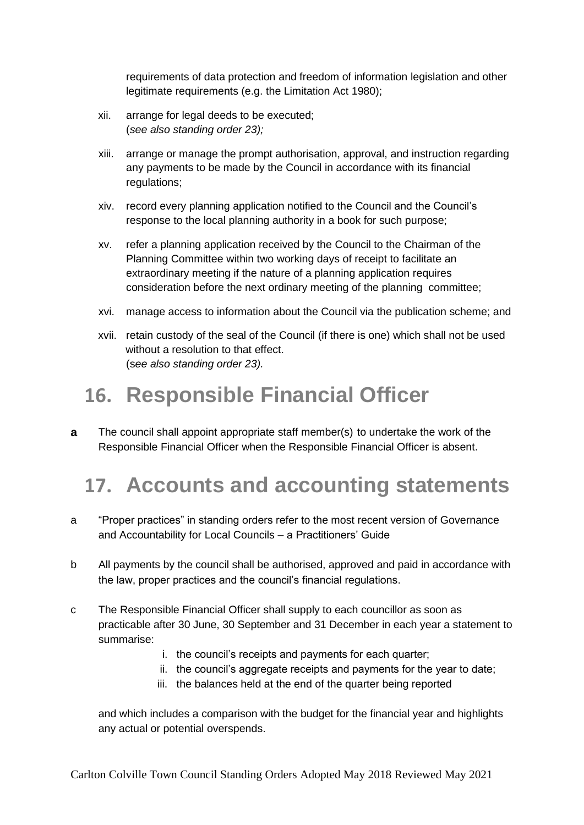requirements of data protection and freedom of information legislation and other legitimate requirements (e.g. the Limitation Act 1980);

- xii. arrange for legal deeds to be executed; (*see also standing order 23);*
- xiii. arrange or manage the prompt authorisation, approval, and instruction regarding any payments to be made by the Council in accordance with its financial regulations;
- xiv. record every planning application notified to the Council and the Council's response to the local planning authority in a book for such purpose;
- xv. refer a planning application received by the Council to the Chairman of the Planning Committee within two working days of receipt to facilitate an extraordinary meeting if the nature of a planning application requires consideration before the next ordinary meeting of the planning committee;
- xvi. manage access to information about the Council via the publication scheme; and
- xvii. retain custody of the seal of the Council (if there is one) which shall not be used without a resolution to that effect. (s*ee also standing order 23).*

### **16. Responsible Financial Officer**

**a** The council shall appoint appropriate staff member(s) to undertake the work of the Responsible Financial Officer when the Responsible Financial Officer is absent.

### **17. Accounts and accounting statements**

- a "Proper practices" in standing orders refer to the most recent version of Governance and Accountability for Local Councils – a Practitioners' Guide
- b All payments by the council shall be authorised, approved and paid in accordance with the law, proper practices and the council's financial regulations.
- c The Responsible Financial Officer shall supply to each councillor as soon as practicable after 30 June, 30 September and 31 December in each year a statement to summarise:
	- i. the council's receipts and payments for each quarter;
	- ii. the council's aggregate receipts and payments for the year to date;
	- iii. the balances held at the end of the quarter being reported

and which includes a comparison with the budget for the financial year and highlights any actual or potential overspends.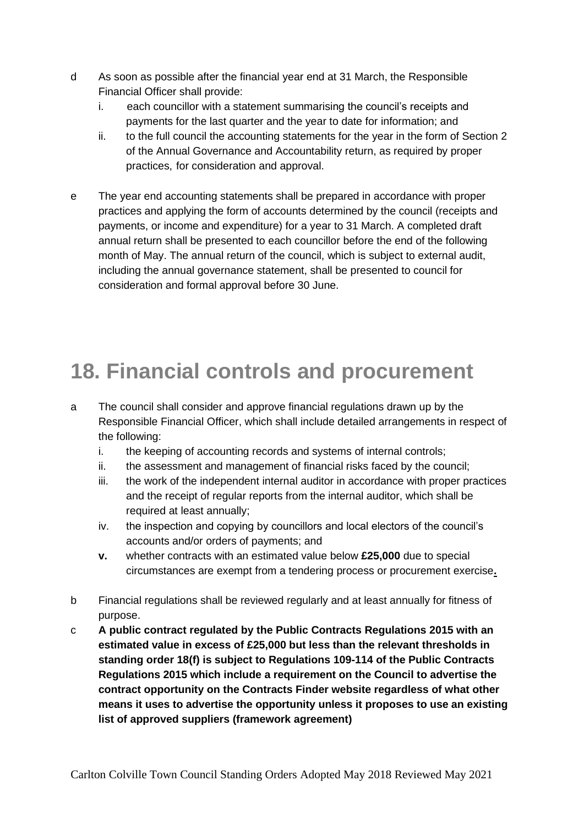- d As soon as possible after the financial year end at 31 March, the Responsible Financial Officer shall provide:
	- i. each councillor with a statement summarising the council's receipts and payments for the last quarter and the year to date for information; and
	- ii. to the full council the accounting statements for the year in the form of Section 2 of the Annual Governance and Accountability return, as required by proper practices, for consideration and approval.
- e The year end accounting statements shall be prepared in accordance with proper practices and applying the form of accounts determined by the council (receipts and payments, or income and expenditure) for a year to 31 March. A completed draft annual return shall be presented to each councillor before the end of the following month of May. The annual return of the council, which is subject to external audit, including the annual governance statement, shall be presented to council for consideration and formal approval before 30 June.

# **18. Financial controls and procurement**

- a The council shall consider and approve financial regulations drawn up by the Responsible Financial Officer, which shall include detailed arrangements in respect of the following:
	- i. the keeping of accounting records and systems of internal controls;
	- ii. the assessment and management of financial risks faced by the council;
	- iii. the work of the independent internal auditor in accordance with proper practices and the receipt of regular reports from the internal auditor, which shall be required at least annually;
	- iv. the inspection and copying by councillors and local electors of the council's accounts and/or orders of payments; and
	- **v.** whether contracts with an estimated value below **£25,000** due to special circumstances are exempt from a tendering process or procurement exercise**.**
- b Financial regulations shall be reviewed regularly and at least annually for fitness of purpose.
- c **A public contract regulated by the Public Contracts Regulations 2015 with an estimated value in excess of £25,000 but less than the relevant thresholds in standing order 18(f) is subject to Regulations 109-114 of the Public Contracts Regulations 2015 which include a requirement on the Council to advertise the contract opportunity on the Contracts Finder website regardless of what other means it uses to advertise the opportunity unless it proposes to use an existing list of approved suppliers (framework agreement)**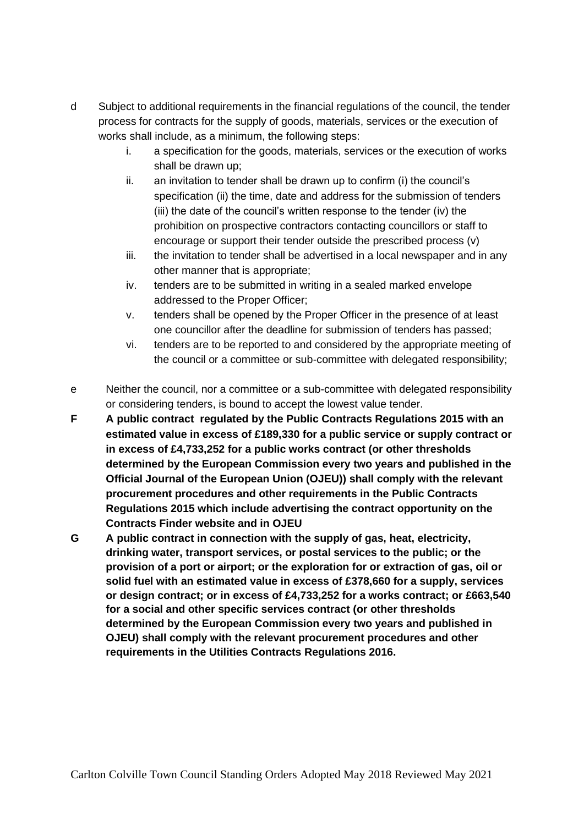- d Subject to additional requirements in the financial regulations of the council, the tender process for contracts for the supply of goods, materials, services or the execution of works shall include, as a minimum, the following steps:
	- i. a specification for the goods, materials, services or the execution of works shall be drawn up;
	- ii. an invitation to tender shall be drawn up to confirm (i) the council's specification (ii) the time, date and address for the submission of tenders (iii) the date of the council's written response to the tender (iv) the prohibition on prospective contractors contacting councillors or staff to encourage or support their tender outside the prescribed process (v)
	- iii. the invitation to tender shall be advertised in a local newspaper and in any other manner that is appropriate;
	- iv. tenders are to be submitted in writing in a sealed marked envelope addressed to the Proper Officer;
	- v. tenders shall be opened by the Proper Officer in the presence of at least one councillor after the deadline for submission of tenders has passed;
	- vi. tenders are to be reported to and considered by the appropriate meeting of the council or a committee or sub-committee with delegated responsibility;
- e Neither the council, nor a committee or a sub-committee with delegated responsibility or considering tenders, is bound to accept the lowest value tender.
- **F A public contract regulated by the Public Contracts Regulations 2015 with an estimated value in excess of £189,330 for a public service or supply contract or in excess of £4,733,252 for a public works contract (or other thresholds determined by the European Commission every two years and published in the Official Journal of the European Union (OJEU)) shall comply with the relevant procurement procedures and other requirements in the Public Contracts Regulations 2015 which include advertising the contract opportunity on the Contracts Finder website and in OJEU**
- **G A public contract in connection with the supply of gas, heat, electricity, drinking water, transport services, or postal services to the public; or the provision of a port or airport; or the exploration for or extraction of gas, oil or solid fuel with an estimated value in excess of £378,660 for a supply, services or design contract; or in excess of £4,733,252 for a works contract; or £663,540 for a social and other specific services contract (or other thresholds determined by the European Commission every two years and published in OJEU) shall comply with the relevant procurement procedures and other requirements in the Utilities Contracts Regulations 2016.**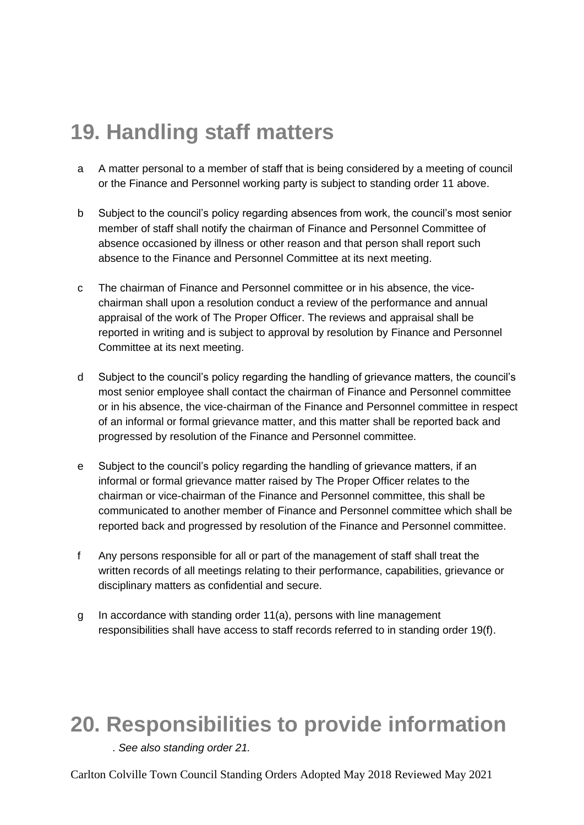# **19. Handling staff matters**

- a A matter personal to a member of staff that is being considered by a meeting of council or the Finance and Personnel working party is subject to standing order 11 above.
- b Subject to the council's policy regarding absences from work, the council's most senior member of staff shall notify the chairman of Finance and Personnel Committee of absence occasioned by illness or other reason and that person shall report such absence to the Finance and Personnel Committee at its next meeting.
- c The chairman of Finance and Personnel committee or in his absence, the vicechairman shall upon a resolution conduct a review of the performance and annual appraisal of the work of The Proper Officer. The reviews and appraisal shall be reported in writing and is subject to approval by resolution by Finance and Personnel Committee at its next meeting.
- d Subject to the council's policy regarding the handling of grievance matters, the council's most senior employee shall contact the chairman of Finance and Personnel committee or in his absence, the vice-chairman of the Finance and Personnel committee in respect of an informal or formal grievance matter, and this matter shall be reported back and progressed by resolution of the Finance and Personnel committee.
- e Subject to the council's policy regarding the handling of grievance matters, if an informal or formal grievance matter raised by The Proper Officer relates to the chairman or vice-chairman of the Finance and Personnel committee, this shall be communicated to another member of Finance and Personnel committee which shall be reported back and progressed by resolution of the Finance and Personnel committee.
- f Any persons responsible for all or part of the management of staff shall treat the written records of all meetings relating to their performance, capabilities, grievance or disciplinary matters as confidential and secure.
- g In accordance with standing order 11(a), persons with line management responsibilities shall have access to staff records referred to in standing order 19(f).

### **20. Responsibilities to provide information**

. *See also standing order 21.*

Carlton Colville Town Council Standing Orders Adopted May 2018 Reviewed May 2021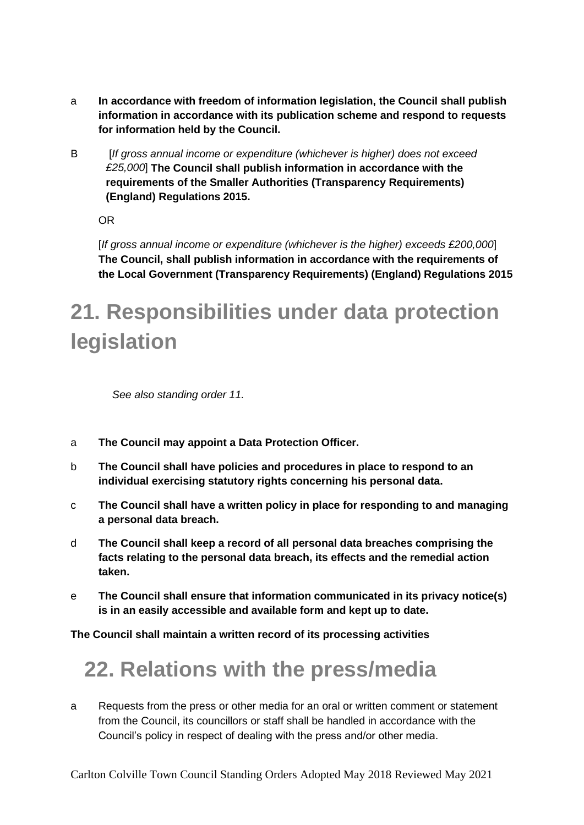- a **In accordance with freedom of information legislation, the Council shall publish information in accordance with its publication scheme and respond to requests for information held by the Council.**
- B [*If gross annual income or expenditure (whichever is higher) does not exceed £25,000*] **The Council shall publish information in accordance with the requirements of the Smaller Authorities (Transparency Requirements) (England) Regulations 2015.**

OR

[*If gross annual income or expenditure (whichever is the higher) exceeds £200,000*] **The Council, shall publish information in accordance with the requirements of the Local Government (Transparency Requirements) (England) Regulations 2015**

# **21. Responsibilities under data protection legislation**

*See also standing order 11.*

- a **The Council may appoint a Data Protection Officer.**
- b **The Council shall have policies and procedures in place to respond to an individual exercising statutory rights concerning his personal data.**
- c **The Council shall have a written policy in place for responding to and managing a personal data breach.**
- d **The Council shall keep a record of all personal data breaches comprising the facts relating to the personal data breach, its effects and the remedial action taken.**
- e **The Council shall ensure that information communicated in its privacy notice(s) is in an easily accessible and available form and kept up to date.**

**The Council shall maintain a written record of its processing activities**

### **22. Relations with the press/media**

a Requests from the press or other media for an oral or written comment or statement from the Council, its councillors or staff shall be handled in accordance with the Council's policy in respect of dealing with the press and/or other media.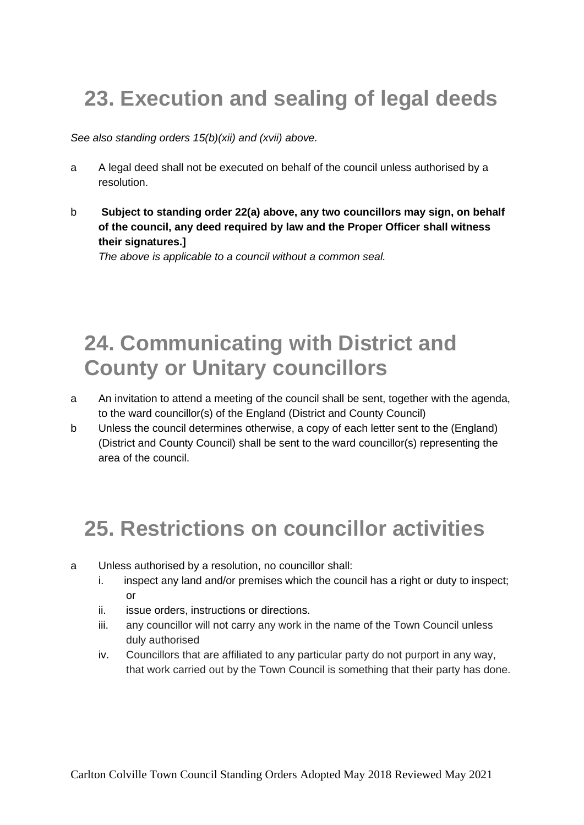# **23. Execution and sealing of legal deeds**

*See also standing orders 15(b)(xii) and (xvii) above.*

- a A legal deed shall not be executed on behalf of the council unless authorised by a resolution.
- b **Subject to standing order 22(a) above, any two councillors may sign, on behalf of the council, any deed required by law and the Proper Officer shall witness their signatures.]**

*The above is applicable to a council without a common seal.*

### **24. Communicating with District and County or Unitary councillors**

- a An invitation to attend a meeting of the council shall be sent, together with the agenda, to the ward councillor(s) of the England (District and County Council)
- b Unless the council determines otherwise, a copy of each letter sent to the (England) (District and County Council) shall be sent to the ward councillor(s) representing the area of the council.

# **25. Restrictions on councillor activities**

- a Unless authorised by a resolution, no councillor shall:
	- i. inspect any land and/or premises which the council has a right or duty to inspect; or
	- ii. issue orders, instructions or directions.
	- iii. any councillor will not carry any work in the name of the Town Council unless duly authorised
	- iv. Councillors that are affiliated to any particular party do not purport in any way, that work carried out by the Town Council is something that their party has done.